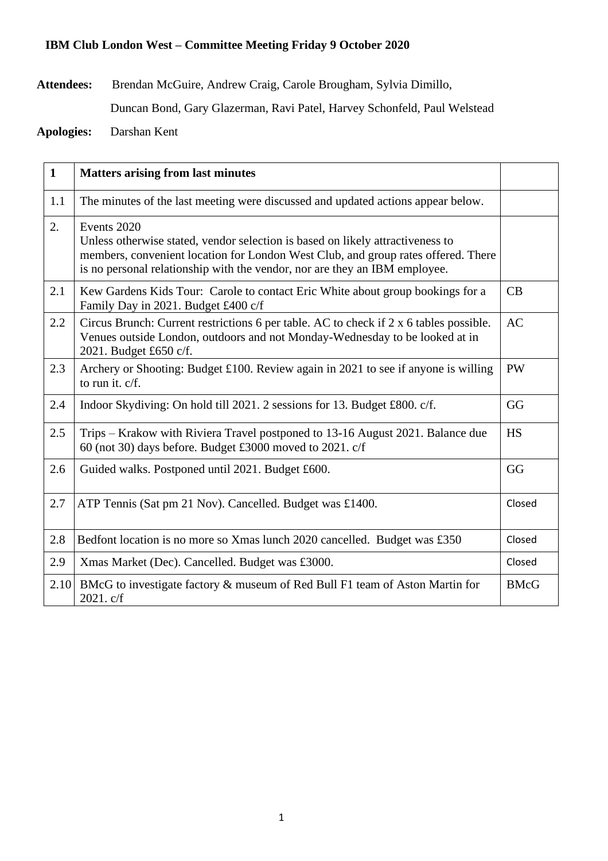## **IBM Club London West – Committee Meeting Friday 9 October 2020**

**Attendees:** Brendan McGuire, Andrew Craig, Carole Brougham, Sylvia Dimillo,

Duncan Bond, Gary Glazerman, Ravi Patel, Harvey Schonfeld, Paul Welstead

**Apologies:** Darshan Kent

| $\mathbf{1}$ | <b>Matters arising from last minutes</b>                                                                                                                                                                                                                         |             |
|--------------|------------------------------------------------------------------------------------------------------------------------------------------------------------------------------------------------------------------------------------------------------------------|-------------|
| 1.1          | The minutes of the last meeting were discussed and updated actions appear below.                                                                                                                                                                                 |             |
| 2.           | Events 2020<br>Unless otherwise stated, vendor selection is based on likely attractiveness to<br>members, convenient location for London West Club, and group rates offered. There<br>is no personal relationship with the vendor, nor are they an IBM employee. |             |
| 2.1          | Kew Gardens Kids Tour: Carole to contact Eric White about group bookings for a<br>Family Day in 2021. Budget £400 c/f                                                                                                                                            | CB          |
| 2.2          | Circus Brunch: Current restrictions 6 per table. AC to check if 2 x 6 tables possible.<br>Venues outside London, outdoors and not Monday-Wednesday to be looked at in<br>2021. Budget £650 c/f.                                                                  | <b>AC</b>   |
| 2.3          | Archery or Shooting: Budget £100. Review again in 2021 to see if anyone is willing<br>to run it. $c/f$ .                                                                                                                                                         | <b>PW</b>   |
| 2.4          | Indoor Skydiving: On hold till 2021. 2 sessions for 13. Budget £800. c/f.                                                                                                                                                                                        | GG          |
| 2.5          | Trips – Krakow with Riviera Travel postponed to 13-16 August 2021. Balance due<br>60 (not 30) days before. Budget £3000 moved to 2021. c/f                                                                                                                       | <b>HS</b>   |
| 2.6          | Guided walks. Postponed until 2021. Budget £600.                                                                                                                                                                                                                 | GG          |
| 2.7          | ATP Tennis (Sat pm 21 Nov). Cancelled. Budget was £1400.                                                                                                                                                                                                         | Closed      |
| 2.8          | Bedfont location is no more so Xmas lunch 2020 cancelled. Budget was £350                                                                                                                                                                                        | Closed      |
| 2.9          | Xmas Market (Dec). Cancelled. Budget was £3000.                                                                                                                                                                                                                  | Closed      |
| 2.10         | BMcG to investigate factory & museum of Red Bull F1 team of Aston Martin for<br>2021. c/f                                                                                                                                                                        | <b>BMcG</b> |